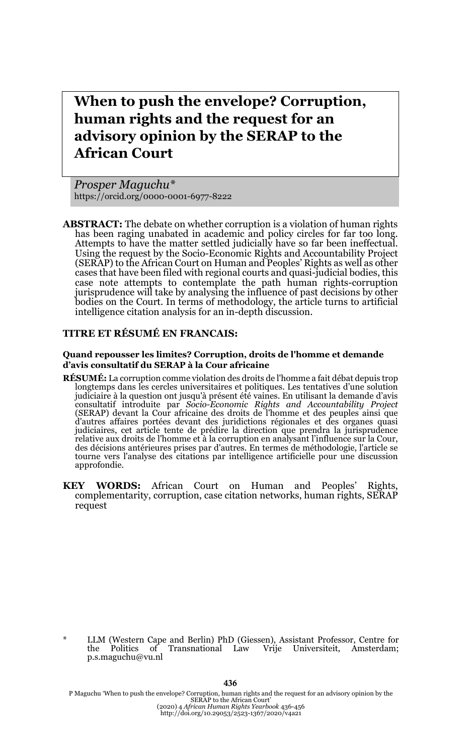# **When to push the envelope? Corruption, human rights and the request for an advisory opinion by the SERAP to the African Court**

*Prosper Maguchu\** https://orcid.org/0000-0001-6977-8222

**ABSTRACT:** The debate on whether corruption is a violation of human rights has been raging unabated in academic and policy circles for far too long. Attempts to have the matter settled judicially have so far been ineffectual. Using the request by the Socio-Economic Rights and Accountability Project (SERAP) to the African Court on Human and Peoples' Rights as well as other cases that have been filed with regional courts and quasi-judicial bodies, this case note attempts to contemplate the path human rights-corruption jurisprudence will take by analysing the influence of past decisions by other bodies on the Court. In terms of methodology, the article turns to artificial intelligence citation analysis for an in-depth discussion.

#### **TITRE ET RÉSUMÉ EN FRANCAIS:**

#### **Quand repousser les limites? Corruption, droits de l'homme et demande d'avis consultatif du SERAP à la Cour africaine**

- **RÉSUMÉ:** La corruption comme violation des droits de l'homme a fait débat depuis trop longtemps dans les cercles universitaires et politiques. Les tentatives d'une solution judiciaire à la question ont jusqu'à présent été vaines. En utilisant la demande d'avis consultatif introduite par *Socio-Economic Rights and Accountability Project* (SERAP) devant la Cour africaine des droits de l'homme et des peuples ainsi que d'autres affaires portées devant des juridictions régionales et des organes quasi<br>judiciaires, cet article tente de prédire la direction que prendra la jurisprudence<br>relative aux droits de l'homme et à la corruption en ana des décisions antérieures prises par d'autres. En termes de méthodologie, l'article se tourne vers l'analyse des citations par intelligence artificielle pour une discussion approfondie.
- **KEY WORDS:** African Court on Human and Peoples' Rights, complementarity, corruption, case citation networks, human rights, SERAP request

\* LLM (Western Cape and Berlin) PhD (Giessen), Assistant Professor, Centre for the Politics of Transnational Law Vrije Universiteit, Amsterdam; p.s.maguchu@vu.nl

P Maguchu 'When to push the envelope? Corruption, human rights and the request for an advisory opinion by the<br>SERAP to the African Court'<br>(2020) 4 African Court (2020) 1 African Court'<br>(2020) Angle (2020) 1 African Human R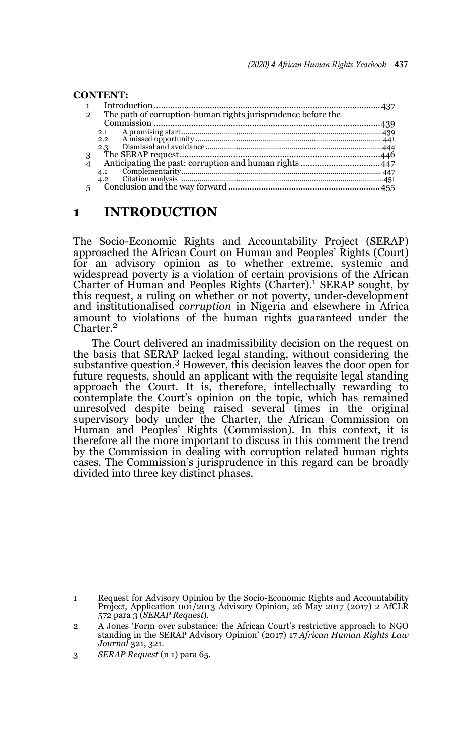#### **CONTENT:** 1 Introduction .................................................................................................437 2 The path of corruption-human rights jurisprudence before the Commission .................................................................................................439 2.1 A promising start.................................................................................................. 439 2.2 A missed opportunity ............................................................................................441 2.3 Dismissal and avoidance ...................................................................................... 444 3 The SERAP request......................................................................................446 4 Anticipating the past: corruption and human rights ..................................447 4.1 Complementarity.................................................................................................. 447 4.2 Citation analysis ...................................................................................................451 5 Conclusion and the way forward .................................................................455

#### **1 INTRODUCTION**

The Socio-Economic Rights and Accountability Project (SERAP) approached the African Court on Human and Peoples' Rights (Court) for an advisory opinion as to whether extreme, systemic and widespread poverty is a violation of certain provisions of the African Charter of Human and Peoples Rights (Charter).<sup>1</sup> SERAP sought, by this request, a ruling on whether or not poverty, under-development and institutionalised *corruption* in Nigeria and elsewhere in Africa amount to violations of the human rights guaranteed under the<br>Charter.<sup>2</sup>

The Court delivered an inadmissibility decision on the request on the basis that SERAP lacked legal standing, without considering the substantive question.3 However, this decision leaves the door open for future requests, should an applicant with the requisite legal standing approach the Court. It is, therefore, intellectually rewarding to contemplate the Court's opinion on the topic, which has remained unresolved despite being raised several times in the original supervisory body under the Charter, the African Commission on Human and Peoples' Rights (Commission). In this context, it is therefore all the more important to discuss in this comment the trend by the Commission in dealing with corruption related human rights cases. The Commission's jurisprudence in this regard can be broadly divided into three key distinct phases.

<sup>1</sup> Request for Advisory Opinion by the Socio-Economic Rights and Accountability Project, Application 001/2013 Advisory Opinion, 26 May 2017 (2017) 2 AfCLR 572 para 3 (*SERAP Request*).

<sup>2</sup> A Jones 'Form over substance: the African Court's restrictive approach to NGO standing in the SERAP Advisory Opinion' (2017) 17 *African Human Rights Law Journal* 321, 321.

<sup>3</sup> *SERAP Request* (n 1) para 65.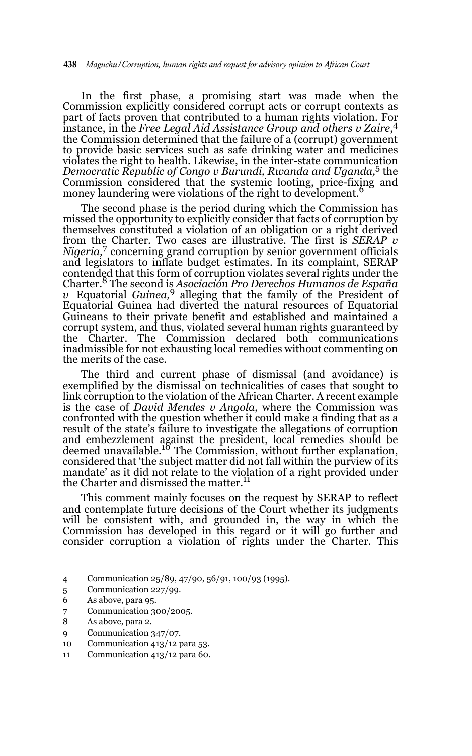In the first phase, a promising start was made when the Commission explicitly considered corrupt acts or corrupt contexts as part of facts proven that contributed to a human rights violation. For instance, in the *Free Legal Aid Assistance Group and others v Zaire*, 4 the Commission determined that the failure of a (corrupt) government to provide basic services such as safe drinking water and medicines violates the right to health. Likewise, in the inter-state communication *Democratic Republic of Congo v Burundi, Rwanda and Uganda,*5 the Commission considered that the systemic looting, price-fixing and money laundering were violations of the right to development.<sup>6</sup>

The second phase is the period during which the Commission has missed the opportunity to explicitly consider that facts of corruption by themselves constituted a violation of an obligation or a right derived from the Charter. Two cases are illustrative. The first is *SERAP v Nigeria,*7 concerning grand corruption by senior government officials and legislators to inflate budget estimates. In its complaint, SERAP contended that this form of corruption violates several rights under the Charter.8 The second is *Asociación Pro Derechos Humanos de España v* Equatorial *Guinea,*9 alleging that the family of the President of Equatorial Guinea had diverted the natural resources of Equatorial Guineans to their private benefit and established and maintained a corrupt system, and thus, violated several human rights guaranteed by the Charter. The Commission declared both communications inadmissible for not exhausting local remedies without commenting on the merits of the case.

The third and current phase of dismissal (and avoidance) is exemplified by the dismissal on technicalities of cases that sought to link corruption to the violation of the African Charter. A recent example is the case of *David Mendes v Angola,* where the Commission was confronted with the question whether it could make a finding that as a result of the state's failure to investigate the allegations of corruption and embezzlement against the president, local remedies should be<br>deemed unavailable.<sup>10</sup> The Commission, without further explanation, considered that 'the subject matter did not fall within the purview of its mandate' as it did not relate to the violation of a right provided under the Charter and dismissed the matter.<sup>11</sup>

This comment mainly focuses on the request by SERAP to reflect and contemplate future decisions of the Court whether its judgments will be consistent with, and grounded in, the way in which the Commission has developed in this regard or it will go further and consider corruption a violation of rights under the Charter. This

- 4 Communication 25/89, 47/90, 56/91, 100/93 (1995).
- 5 Communication 227/99.
- 6 As above, para 95.
- 7 Communication 300/2005.
- 8 As above, para 2.
- 9 Communication 347/07.
- 10 Communication 413/12 para 53.
- 11 Communication 413/12 para 60.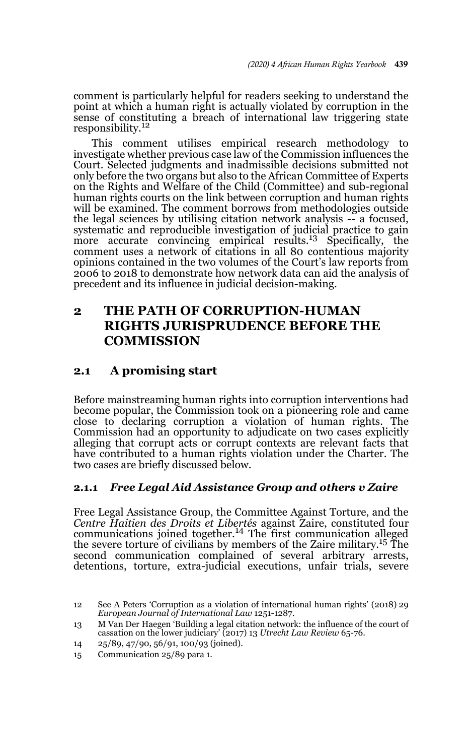comment is particularly helpful for readers seeking to understand the point at which a human right is actually violated by corruption in the sense of constituting a breach of international law triggering state responsibility.<sup>12</sup>

This comment utilises empirical research methodology to investigate whether previous case law of the Commission influences the Court. Selected judgments and inadmissible decisions submitted not only before the two organs but also to the African Committee of Experts on the Rights and Welfare of the Child (Committee) and sub-regional human rights courts on the link between corruption and human rights will be examined. The comment borrows from methodologies outside the legal sciences by utilising citation network analysis -- a focused, systematic and reproducible investigation of judicial practice to gain more accurate convincing empirical results.<sup>13</sup> Specifically, the comment uses a network of citations in all 80 contentious majority opinions contained in the two volumes of the Court's law reports from 2006 to 2018 to demonstrate how network data can aid the analysis of precedent and its influence in judicial decision-making.

## **2 THE PATH OF CORRUPTION-HUMAN RIGHTS JURISPRUDENCE BEFORE THE COMMISSION**

## **2.1 A promising start**

Before mainstreaming human rights into corruption interventions had become popular, the Commission took on a pioneering role and came close to declaring corruption a violation of human rights. The Commission had an opportunity to adjudicate on two cases explicitly alleging that corrupt acts or corrupt contexts are relevant facts that have contributed to a human rights violation under the Charter. The two cases are briefly discussed below.

#### **2.1.1** *Free Legal Aid Assistance Group and others v Zaire*

Free Legal Assistance Group, the Committee Against Torture, and the *Centre Haitien des Droits et Libertés* against Zaire, constituted four communications joined together.14 The first communication alleged the severe torture of civilians by members of the Zaire military.15 The second communication complained of several arbitrary arrests, detentions, torture, extra-judicial executions, unfair trials, severe

<sup>12</sup> See A Peters 'Corruption as a violation of international human rights' (2018) 29 *European Journal of International Law* 1251-1287.

<sup>13</sup> M Van Der Haegen 'Building a legal citation network: the influence of the court of cassation on the lower judiciary' (2017) 13 *Utrecht Law Review* 65-76.

<sup>14 25/89, 47/90, 56/91, 100/93 (</sup>joined).

<sup>15</sup> Communication 25/89 para 1.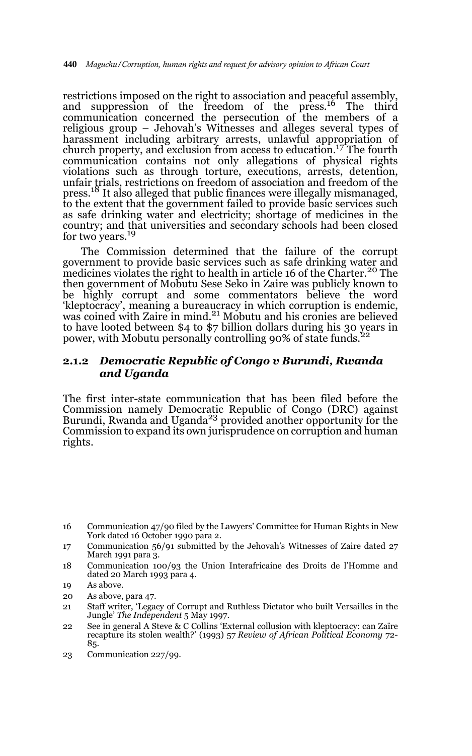restrictions imposed on the right to association and peaceful assembly, and suppression of the freedom of the press.<sup>16</sup> The third communication concerned the persecution of the members of a religious group – Jehovah's Witnesses and alleges several types of harassment including arbitrary arrests, unlawful appropriation of church property, and exclusion from access to education.<sup>17</sup> The fourth communication contains not only allegations of physical rights violations such as through torture, executions, arrests, detention, unfair trials, restrictions on freedom of association and freedom of the press.18 It also alleged that public finances were illegally mismanaged, to the extent that the government failed to provide basic services such as safe drinking water and electricity; shortage of medicines in the country; and that universities and secondary schools had been closed for two years.<sup>19</sup>

The Commission determined that the failure of the corrupt government to provide basic services such as safe drinking water and medicines violates the right to health in article 16 of the Charter.<sup>20</sup> The then government of Mobutu Sese Seko in Zaire was publicly known to be highly corrupt and some commentators believe the word 'kleptocracy', meaning a bureaucracy in which corruption is endemic, was coined with Zaire in mind.<sup>21</sup> Mobutu and his cronies are believed to have looted between \$4 to \$7 billion dollars during his 30 years in<br>power, with Mobutu personally controlling 90% of state funds.<sup>22</sup>

#### **2.1.2** *Democratic Republic of Congo v Burundi, Rwanda and Uganda*

The first inter-state communication that has been filed before the Commission namely Democratic Republic of Congo (DRC) against Burundi, Rwanda and Uganda<sup>23</sup> provided another opportunity for the Commission to expand its own jurisprudence on corruption and human rights.

<sup>16</sup> Communication 47/90 filed by the Lawyers' Committee for Human Rights in New York dated 16 October 1990 para 2.

<sup>17</sup> Communication 56/91 submitted by the Jehovah's Witnesses of Zaire dated 27 March 1991 para 3.

<sup>18</sup> Communication 100/93 the Union Interafricaine des Droits de l'Homme and dated 20 March 1993 para 4.

<sup>19</sup> As above.

<sup>20</sup> As above, para 47.

<sup>21</sup> Staff writer, 'Legacy of Corrupt and Ruthless Dictator who built Versailles in the Jungle' *The Independent* 5 May 1997.

<sup>22</sup> See in general A Steve & C Collins 'External collusion with kleptocracy: can Zaïre recapture its stolen wealth?' (1993) 57 *Review of African Political Economy* 72- 85.

<sup>23</sup> Communication 227/99.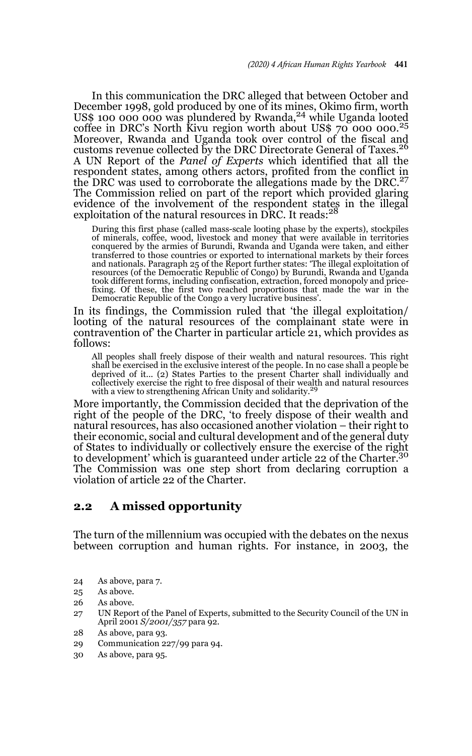In this communication the DRC alleged that between October and December 1998, gold produced by one of its mines, Okimo firm, worth US\$ 100 000 000 was plundered by Rwanda, $^{24}$  while Uganda looted coffee in DRC's North Kivu region worth about US\$  $70$  000 000.<sup>25</sup> Moreover, Rwanda and Uganda took over control of the fiscal and customs revenue collected by the DRC Directorate General of Taxes.<sup>26</sup> A UN Report of the *Panel of Experts* which identified that all the respondent states, among others actors, profited from the conflict in the DRC was used to corroborate the allegations made by the DRC. $^{27}$ The Commission relied on part of the report which provided glaring evidence of the involvement of the respondent states in the illegal exploitation of the natural resources in DRC*.* It reads:<sup>28</sup>

During this first phase (called mass-scale looting phase by the experts), stockpiles<br>of minerals, coffee, wood, livestock and money that were available in territories<br>conquered by the armies of Burundi, Rwanda and Uganda w transferred to those countries or exported to international markets by their forces and nationals. Paragraph 25 of the Report further states: 'The illegal exploitation of resources (of the Democratic Republic of Congo) by Burundi, Rwanda and Uganda took different forms, including confiscation, extraction, forced monopoly and pricefixing. Of these, the first two reached proportions that made the war in the Democratic Republic of the Congo a very lucrative business'.

In its findings, the Commission ruled that 'the illegal exploitation/ looting of the natural resources of the complainant state were in contravention of' the Charter in particular article 21, which provides as follows:

All peoples shall freely dispose of their wealth and natural resources. This right shall be exercised in the exclusive interest of the people. In no case shall a people be deprived of it... (2) States Parties to the present Charter shall individually and collectively exercise the right to free disposal of their wealth and natural resources with a view to strengthening African Unity and solidarity.<sup>29</sup>

More importantly, the Commission decided that the deprivation of the right of the people of the DRC, 'to freely dispose of their wealth and natural resources, has also occasioned another violation – their right to their economic, social and cultural development and of the general duty of States to individually or collectively ensure the exercise of the right to development' which is guaranteed under article 22 of the Charter.<sup>30</sup> The Commission was one step short from declaring corruption a violation of article 22 of the Charter.

#### **2.2 A missed opportunity**

The turn of the millennium was occupied with the debates on the nexus between corruption and human rights. For instance, in 2003, the

- 24 As above, para 7.
- 25 As above.
- 26 As above.
- 27 UN Report of the Panel of Experts, submitted to the Security Council of the UN in April 2001 *S/2001/357* para 92.
- 28 As above, para 93.
- 29 Communication 227/99 para 94.
- 30 As above, para 95.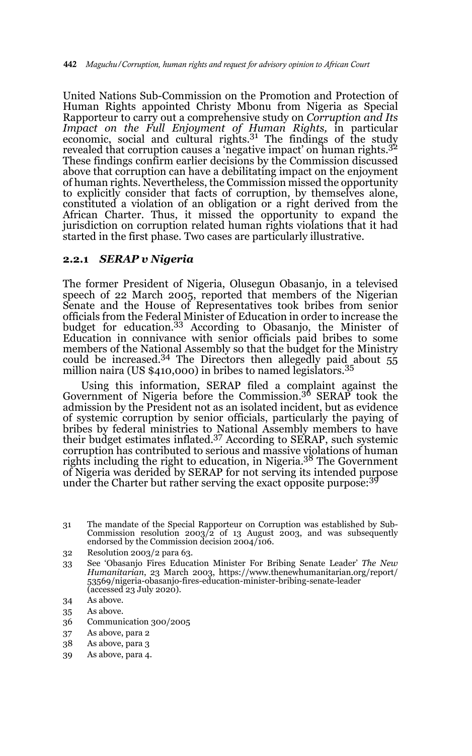United Nations Sub-Commission on the Promotion and Protection of Human Rights appointed Christy Mbonu from Nigeria as Special Rapporteur to carry out a comprehensive study on *Corruption and Its Impact on the Full Enjoyment of Human Rights,* in particular economic, social and cultural rights.31 The findings of the study revealed that corruption causes a 'negative impact' on human rights.<sup>32</sup> These findings confirm earlier decisions by the Commission discussed above that corruption can have a debilitating impact on the enjoyment of human rights. Nevertheless, the Commission missed the opportunity to explicitly consider that facts of corruption, by themselves alone, constituted a violation of an obligation or a right derived from the African Charter. Thus, it missed the opportunity to expand the jurisdiction on corruption related human rights violations that it had started in the first phase. Two cases are particularly illustrative.

#### **2.2.1** *SERAP v Nigeria*

The former President of Nigeria, Olusegun Obasanjo, in a televised speech of 22 March 2005, reported that members of the Nigerian Senate and the House of Representatives took bribes from senior officials from the Federal Minister of Education in order to increase the<br>budget for education.<sup>33</sup> According to Obasanjo, the Minister of Education in connivance with senior officials paid bribes to some members of the National Assembly so that the budget for the Ministry could be increased.<sup>34</sup> The Directors then allegedly paid about  $55$ million naira (US \$410,000) in bribes to named legislators.<sup>35</sup>

Using this information, SERAP filed a complaint against the Government of Nigeria before the Commission.36 SERAP took the admission by the President not as an isolated incident, but as evidence of systemic corruption by senior officials, particularly the paying of bribes by federal ministries to National Assembly members to have their budget estimates inflated.37 According to SERAP, such systemic corruption has contributed to serious and massive violations of human rights including the right to education, in Nigeria.<sup>38</sup> The Government of Nigeria was derided by SERAP for not serving its intended purpose under the Charter but rather serving the exact opposite purpose: $3<sup>9</sup>$ 

- 38 As above, para 3
- 39 As above, para 4.

<sup>31</sup> The mandate of the Special Rapporteur on Corruption was established by Sub-Commission resolution 2003/2 of 13 August 2003, and was subsequently endorsed by the Commission decision 2004/106.

<sup>32</sup> Resolution 2003/2 para 63.

<sup>33</sup> See 'Obasanjo Fires Education Minister For Bribing Senate Leader' *The New Humanitarian*, 23 March 2003, https://www.thenewhumanitarian.org/report/ 53569/nigeria-obasanjo-fires-education-minister-bribing-senate-leader (accessed 23 July 2020).

<sup>34</sup> As above.

<sup>35</sup> As above.

<sup>36</sup> Communication 300/2005

<sup>37</sup> As above, para 2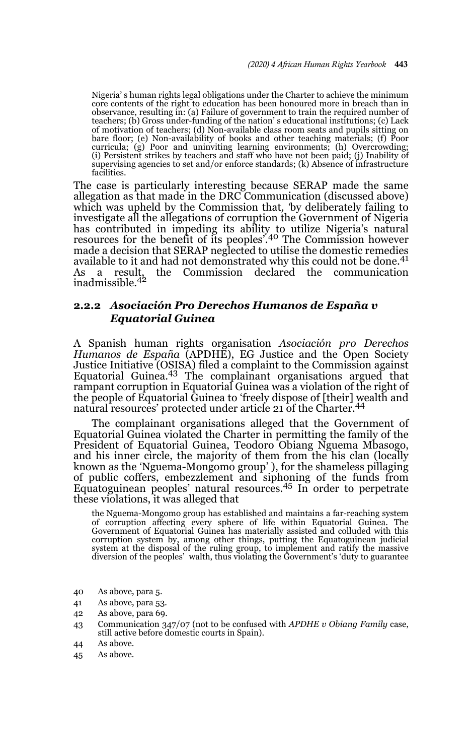Nigeria' s human rights legal obligations under the Charter to achieve the minimum core contents of the right to education has been honoured more in breach than in observance, resulting in: (a) Failure of government to train the required number of teachers; (b) Gross under-funding of the nation' s educational institutions; (c) Lack of motivation of teachers; (d) Non-available class room seats and pupils sitting on bare floor; (e) Non-availability of books and other teaching materials; (f) Poor curricula; (g) Poor and uninviting learning environments; (h) Overcrowding; (i) Persistent strikes by teachers and staff who have not been paid; (j) Inability of supervising agencies to set and/or enforce standards; (k) Absence of infrastructure facilities.

The case is particularly interesting because SERAP made the same allegation as that made in the DRC Communication (discussed above) which was upheld by the Commission that*, '*by deliberately failing to investigate all the allegations of corruption the Government of Nigeria has contributed in impeding its ability to utilize Nigeria's natural resources for the benefit of its peoples'.40 The Commission however made a decision that SERAP neglected to utilise the domestic remedies available to it and had not demonstrated why this could not be done.<sup>41</sup> the Commission declared the communication As a result,<br>inadmissible.<sup>42</sup>

#### **2.2.2** *Asociación Pro Derechos Humanos de España v Equatorial Guinea*

A Spanish human rights organisation *Asociación pro Derechos Humanos de España* (APDHE), EG Justice and the Open Society Justice Initiative (OSISA) filed a complaint to the Commission against Equatorial Guinea.<sup>43</sup> The complainant organisations argued that rampant corruption in Equatorial Guinea was a violation of the right of the people of Equatorial Guinea to 'freely dispose of [their] wealth and natural resources' protected under article 21 of the Charter.<sup>44</sup>

The complainant organisations alleged that the Government of Equatorial Guinea violated the Charter in permitting the family of the President of Equatorial Guinea, Teodoro Obiang Nguema Mbasogo, and his inner circle, the majority of them from the his clan (locally known as the 'Nguema-Mongomo group' ), for the shameless pillaging of public coffers, embezzlement and siphoning of the funds from Equatoguinean peoples' natural resources.45 In order to perpetrate these violations, it was alleged that

the Nguema-Mongomo group has established and maintains a far-reaching system of corruption affecting every sphere of life within Equatorial Guinea. The Government of Equatorial Guinea has materially assisted and colluded with this corruption system by, among other things, putting the Equatoguinean judicial system at the disposal of the ruling group, to implement and ratify the massive diversion of the peoples' walth, thus violating the Government's 'duty to guarantee

- 40 As above, para 5.
- 41 As above, para 53.
- 42 As above, para 69.
- 43 Communication 347/07 (not to be confused with *APDHE v Obiang Family* case, still active before domestic courts in Spain).
- 44 As above.
- 45 As above.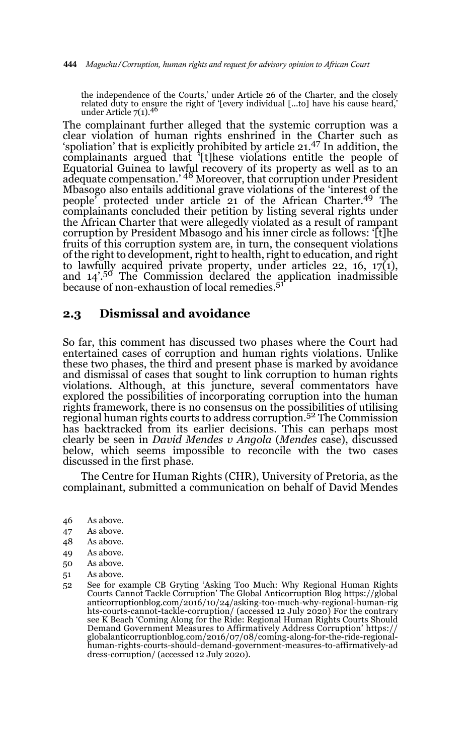the independence of the Courts,' under Article 26 of the Charter, and the closely related duty to ensure the right of '[every individual [...to] have his cause heard,' under Article  $7(1).^{46}$ 

The complainant further alleged that the systemic corruption was a clear violation of human rights enshrined in the Charter such as 'spoliation' that is explicitly prohibited by article 21.47 In addition, the complainants argued that '[t]hese violations entitle the people of Equatorial Guinea to lawful recovery of its property as well as to an adequate compensation.' 48 Moreover, that corruption under President Mbasogo also entails additional grave violations of the 'interest of the people' protected under article 21 of the African Charter.<sup>49</sup> The complainants concluded their petition by listing several rights under the African Charter that were allegedly violated as a result of rampant corruption by President Mbasogo and his inner circle as follows: '[t]he fruits of this corruption system are, in turn, the consequent violations of the right to development, right to health, right to education, and right to lawfully acquired private property, under articles 22, 16, 17(1),<br>and 14'.<sup>50</sup> The Commission declared the application inadmissible because of non-exhaustion of local remedies.<sup>51</sup>

#### **2.3 Dismissal and avoidance**

So far, this comment has discussed two phases where the Court had entertained cases of corruption and human rights violations. Unlike these two phases, the third and present phase is marked by avoidance and dismissal of cases that sought to link corruption to human rights violations. Although, at this juncture, several commentators have explored the possibilities of incorporating corruption into the human rights framework, there is no consensus on the possibilities of utilising regional human rights courts to address corruption.52 The Commission has backtracked from its earlier decisions. This can perhaps most clearly be seen in *David Mendes v Angola* (*Mendes* case), discussed below, which seems impossible to reconcile with the two cases discussed in the first phase.

The Centre for Human Rights (CHR), University of Pretoria, as the complainant, submitted a communication on behalf of David Mendes

- 46 As above.
- 47 As above.
- 48 As above.
- 49 As above.
- 50 As above.
- 51 As above.
- 52 See for example CB Gryting 'Asking Too Much: Why Regional Human Rights Courts Cannot Tackle Corruption' The Global Anticorruption Blog https://global anticorruptionblog.com/2016/10/24/asking-too-much-why-regional-human-rig hts-courts-cannot-tackle-corruption/ (accessed 12 July 2020) For the contrary see K Beach 'Coming Along for the Ride: Regional Human Rights Courts Should Demand Government Measures to Affirmatively Address Corruption' https:// globalanticorruptionblog.com/2016/07/08/coming-along-for-the-ride-regionalhuman-rights-courts-should-demand-government-measures-to-affirmatively-ad dress-corruption/ (accessed 12 July 2020).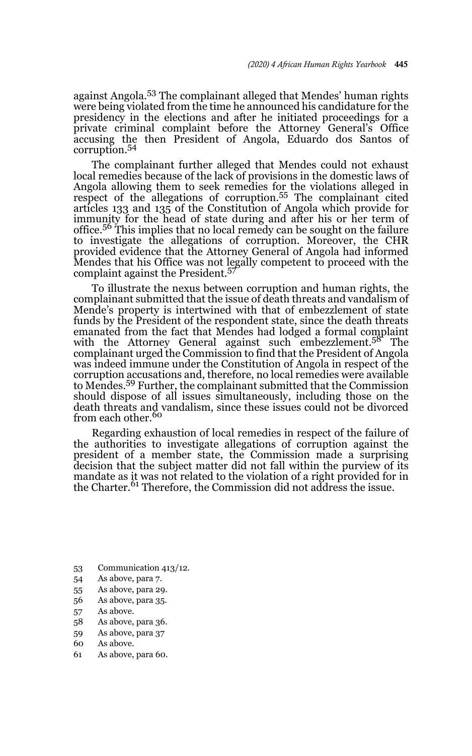against Angola.53 The complainant alleged that Mendes' human rights were being violated from the time he announced his candidature for the presidency in the elections and after he initiated proceedings for a private criminal complaint before the Attorney General's Office accusing the then President of Angola, Eduardo dos Santos of corruption.<sup>54</sup>

The complainant further alleged that Mendes could not exhaust local remedies because of the lack of provisions in the domestic laws of Angola allowing them to seek remedies for the violations alleged in respect of the allegations of corruption.55 The complainant cited articles 133 and 135 of the Constitution of Angola which provide for immunity for the head of state during and after his or her term of office.56 This implies that no local remedy can be sought on the failure to investigate the allegations of corruption. Moreover, the CHR provided evidence that the Attorney General of Angola had informed Mendes that his Office was not legally competent to proceed with the complaint against the President.<sup>57</sup>

To illustrate the nexus between corruption and human rights, the complainant submitted that the issue of death threats and vandalism of Mende's property is intertwined with that of embezzlement of state funds by the President of the respondent state, since the death threats emanated from the fact that Mendes had lodged a formal complaint with the Attorney General against such embezzlement.<sup>58</sup> The complainant urged the Commission to find that the President of Angola was indeed immune under the Constitution of Angola in respect of the corruption accusations and, therefore, no local remedies were available to Mendes.59 Further, the complainant submitted that the Commission should dispose of all issues simultaneously, including those on the death threats and vandalism, since these issues could not be divorced from each other.<sup>60</sup>

Regarding exhaustion of local remedies in respect of the failure of the authorities to investigate allegations of corruption against the president of a member state, the Commission made a surprising decision that the subject matter did not fall within the purview of its mandate as it was not related to the violation of a right provided for in the Charter.<sup>61</sup> Therefore, the Commission did not address the issue.

- 53 Communication 413/12.
- 54 As above, para 7.
- 55 As above, para 29.
- 56 As above, para 35.
- 57 As above.
- 58 As above, para 36.
- 59 As above, para 37
- 60 As above.
- 61 As above, para 60.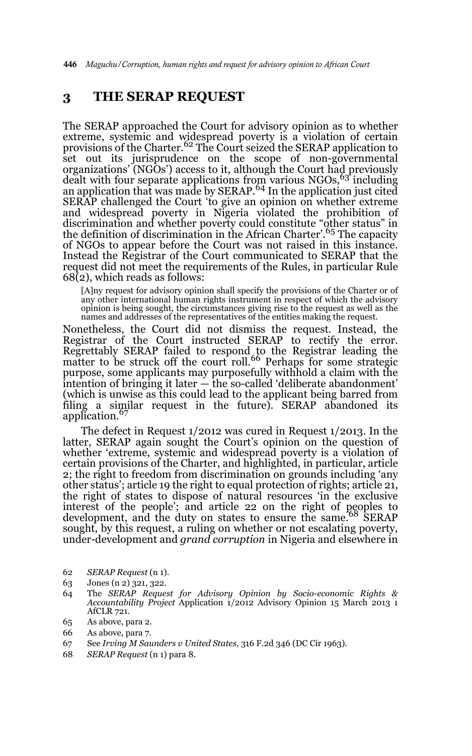### **3 THE SERAP REQUEST**

The SERAP approached the Court for advisory opinion as to whether extreme, systemic and widespread poverty is a violation of certain provisions of the Charter.62 The Court seized the SERAP application to set out its jurisprudence on the scope of non-governmental organizations' (NGOs') access to it, although the Court had previously dealt with four separate applications from various NGOs, 63 including an application that was made by SERAP.<sup>64</sup> In the application just cited SERAP challenged the Court 'to give an opinion on whether extreme and widespread poverty in Nigeria violated the prohibition of discrimination and whether poverty could constitute "other status" in the definition of discrimination in the African Charter'.<sup>65</sup> The capacity of NGOs to appear before the Court was not raised in this instance. Instead the Registrar of the Court communicated to SERAP that the request did not meet the requirements of the Rules, in particular Rule 68(2), which reads as follows:

[A]ny request for advisory opinion shall specify the provisions of the Charter or of any other international human rights instrument in respect of which the advisory opinion is being sought, the circumstances giving rise to the request as well as the names and addresses of the representatives of the entities making the request*.* 

Nonetheless, the Court did not dismiss the request. Instead, the Registrar of the Court instructed SERAP to rectify the error. Regrettably SERAP failed to respond to the Registrar leading the<br>matter to be struck off the court roll.<sup>66</sup> Perhaps for some strategic purpose, some applicants may purposefully withhold a claim with the intention of bringing it later — the so-called 'deliberate abandonment' (which is unwise as this could lead to the applicant being barred from filing a similar request in the future). SERAP abandoned its application.<sup>67</sup>

The defect in Request 1/2012 was cured in Request 1/2013. In the latter, SERAP again sought the Court's opinion on the question of whether 'extreme, systemic and widespread poverty is a violation of certain provisions of the Charter, and highlighted, in particular, article 2; the right to freedom from discrimination on grounds including 'any other status'; article 19 the right to equal protection of rights; article 21, the right of states to dispose of natural resources 'in the exclusive interest of the people'; and article 22 on the right of peoples to development, and the duty on states to ensure the same.<sup>68</sup> SERAP sought, by this request, a ruling on whether or not escalating poverty, under-development and *grand corruption* in Nigeria and elsewhere in

- 62 *SERAP Request* (n 1).
- 63 Jones (n 2) 321, 322.
- 64 The *SERAP Request for Advisory Opinion by Socio-economic Rights & Accountability Project* Application 1/2012 Advisory Opinion 15 March 2013 1 AfCLR 721.
- 65 As above, para 2.
- 66 As above, para 7.
- 67 See *Irving M Saunders v United States,* 316 F.2d 346 (DC Cir 1963)*.*
- 68 *SERAP Request* (n 1) para 8.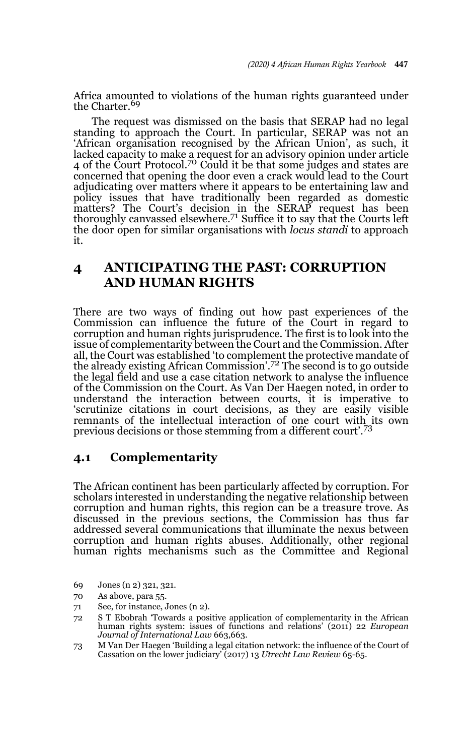Africa amounted to violations of the human rights guaranteed under the Charter.<sup>69</sup>

The request was dismissed on the basis that SERAP had no legal standing to approach the Court. In particular, SERAP was not an 'African organisation recognised by the African Union', as such, it lacked capacity to make a request for an advisory opinion under article 4 of the Court Protocol.<sup>70</sup> Could it be that some judges and states are concerned that opening the door even a crack would lead to the Court adjudicating over matters where it appears to be entertaining law and policy issues that have traditionally been regarded as domestic matters? The Court's decision in the SERAP request has been thoroughly canvassed elsewhere.<sup>71</sup> Suffice it to say that the Courts left the door open for similar organisations with *locus standi* to approach it.

## **4 ANTICIPATING THE PAST: CORRUPTION AND HUMAN RIGHTS**

There are two ways of finding out how past experiences of the Commission can influence the future of the Court in regard to corruption and human rights jurisprudence. The first is to look into the issue of complementarity between the Court and the Commission. After all, the Court was established 'to complement the protective mandate of the already existing African Commission'.72 The second is to go outside the legal field and use a case citation network to analyse the influence of the Commission on the Court. As Van Der Haegen noted, in order to understand the interaction between courts, it is imperative to 'scrutinize citations in court decisions, as they are easily visible remnants of the intellectual interaction of one court with its own previous decisions or those stemming from a different court'.<sup>73</sup>

### **4.1 Complementarity**

The African continent has been particularly affected by corruption. For scholars interested in understanding the negative relationship between corruption and human rights, this region can be a treasure trove. As discussed in the previous sections, the Commission has thus far addressed several communications that illuminate the nexus between corruption and human rights abuses. Additionally, other regional human rights mechanisms such as the Committee and Regional

- 69 Jones (n 2) 321, 321.
- 70 As above, para 55.
- 71 See, for instance, Jones (n 2).
- 72 S T Ebobrah 'Towards a positive application of complementarity in the African human rights system: issues of functions and relations' (2011) 22 *European Journal of International Law* 663,663.
- 73 M Van Der Haegen 'Building a legal citation network: the influence of the Court of Cassation on the lower judiciary' (2017) 13 *Utrecht Law Review* 65-65.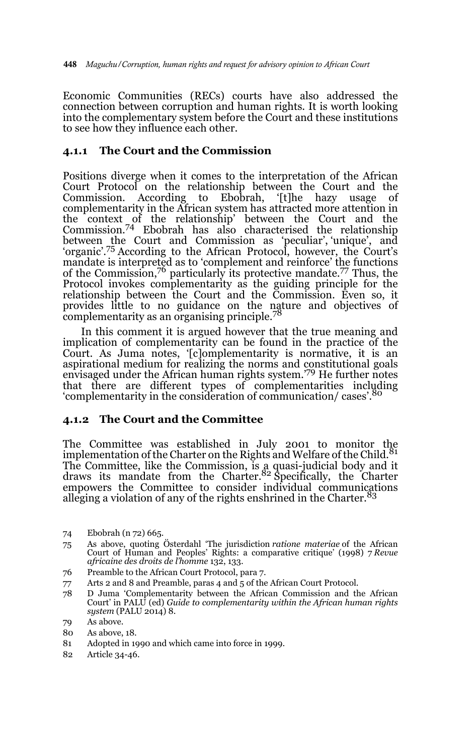Economic Communities (RECs) courts have also addressed the connection between corruption and human rights. It is worth looking into the complementary system before the Court and these institutions to see how they influence each other.

### **4.1.1 The Court and the Commission**

Positions diverge when it comes to the interpretation of the African Court Protocol on the relationship between the Court and the Commission. According to Ebobrah, '[t]he hazy usage of complementarity in the African system has attracted more attention in the context of the relationship' between the Court and the Commission.74 Ebobrah has also characterised the relationship between the Court and Commission as 'peculiar', 'unique', and 'organic'.75 According to the African Protocol, however, the Court's mandate is interpreted as to 'complement and reinforce' the functions of the Commission,76 particularly its protective mandate.77 Thus, the Protocol invokes complementarity as the guiding principle for the relationship between the Court and the Commission. Even so, it provides little to no guidance on the nature and objectives of complementarity as an organising principle.<sup>78</sup>

In this comment it is argued however that the true meaning and implication of complementarity can be found in the practice of the Court. As Juma notes, '[c]omplementarity is normative, it is an aspirational medium for realizing the norms and constitutional goals envisaged under the African human rights system.<sup>'79</sup> He further notes that there are different types of complementarities including 'complementarity in the consideration of communication/ cases'.<sup>80</sup>

#### **4.1.2 The Court and the Committee**

The Committee was established in July 2001 to monitor the implementation of the Charter on the Rights and Welfare of the Child.<sup>81</sup> The Committee, like the Commission, is a quasi-judicial body and it draws its mandate from the Charter.<sup>82</sup> Specifically, the Charter empowers the Committee to consider individual communications alleging a violation of any of the rights enshrined in the Charter. $83$ 

- 75 As above, quoting Österdahl 'The jurisdiction *ratione materiae* of the African Court of Human and Peoples' Rights: a comparative critique' (1998) 7 *Revue africaine des droits de l'homme* 132, 133.
- 76 Preamble to the African Court Protocol, para 7.
- 77 Arts 2 and 8 and Preamble, paras 4 and 5 of the African Court Protocol.
- 78 D Juma 'Complementarity between the African Commission and the African Court' in PALU (ed) *Guide to complementarity within the African human rights system* (PALU 2014) 8.

- 80 As above, 18.
- 81 Adopted in 1990 and which came into force in 1999.
- 82 Article 34-46.

<sup>74</sup> Ebobrah (n 72) 665.

<sup>79</sup> As above.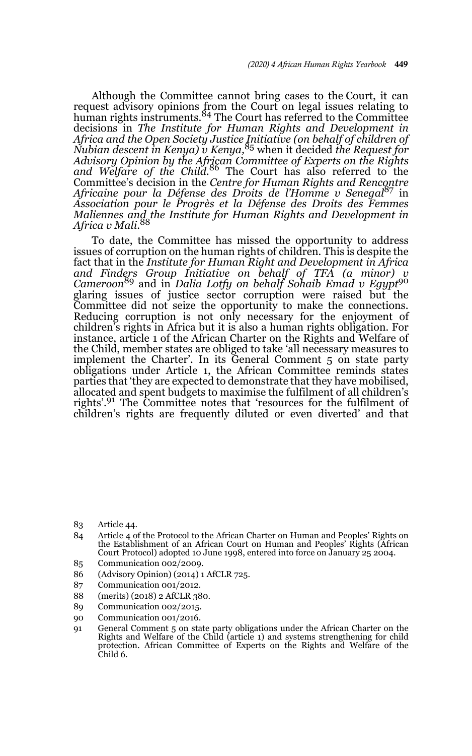Although the Committee cannot bring cases to the Court, it can request advisory opinions from the Court on legal issues relating to<br>human rights instruments.<sup>84</sup> The Court has referred to the Committee decisions in *The Institute for Human Rights and Development in Africa and the Open Society Justice Initiative (on behalf of children of Nubian descent in Kenya) v Kenya,*<sup>85</sup> when it decided *the Request for Advisory Opinion by the African Committee of Experts on the Rights and Welfare of the Child.*86 The Court has also referred to the Committee's decision in the *Centre for Human Rights and Rencontre Africaine pour la Défense des Droits de l'Homme v Senegal*<sup>87</sup> in *Association pour le Progrès et la Défense des Droits des Femmes Maliennes and the Institute for Human Rights and Development in Africa v Mali*. 88

To date, the Committee has missed the opportunity to address issues of corruption on the human rights of children. This is despite the fact that in the *Institute for Human Right and Development in Africa and Finders Group Initiative on behalf of TFA (a minor) v Cameroon*89 and in *Dalia Lotfy on behalf Sohaib Emad v Egypt*<sup>90</sup> glaring issues of justice sector corruption were raised but the Committee did not seize the opportunity to make the connections. Reducing corruption is not only necessary for the enjoyment of children's rights in Africa but it is also a human rights obligation. For instance, article 1 of the African Charter on the Rights and Welfare of the Child, member states are obliged to take 'all necessary measures to implement the Charter'. In its General Comment 5 on state party obligations under Article 1, the African Committee reminds states parties that 'they are expected to demonstrate that they have mobilised, allocated and spent budgets to maximise the fulfilment of all children's rights'.<sup>91</sup> The Committee notes that 'resources for the fulfilment of children's rights are frequently diluted or even diverted' and that

- 83 Article 44.
- 84 Article 4 of the Protocol to the African Charter on Human and Peoples' Rights on the Establishment of an African Court on Human and Peoples' Rights (African Court Protocol) adopted 10 June 1998, entered into force on January 25 2004.
- 85 Communication 002/2009.
- 86 (Advisory Opinion) (2014) 1 AfCLR 725.
- 87 Communication 001/2012.
- 88 (merits) (2018) 2 AfCLR 380.
- 89 Communication 002/2015.
- 90 Communication 001/2016.
- 91 General Comment 5 on state party obligations under the African Charter on the Rights and Welfare of the Child (article 1) and systems strengthening for child protection. African Committee of Experts on the Rights and Welfare of the Child 6.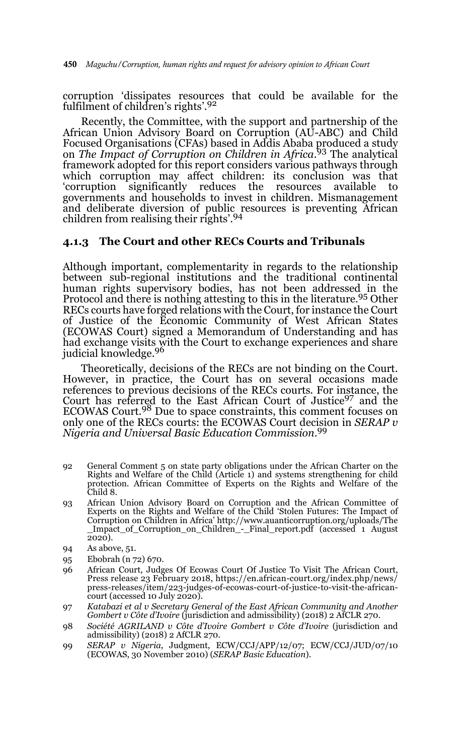corruption 'dissipates resources that could be available for the fulfilment of children's rights'.92

Recently, the Committee, with the support and partnership of the African Union Advisory Board on Corruption (AU-ABC) and Child Focused Organisations (CFAs) based in Addis Ababa produced a study on *The Impact of Corruption on Children in Africa*. 93 The analytical framework adopted for this report considers various pathways through which corruption may affect children: its conclusion was that 'corruption significantly reduces the resources available to 'corruption significantly reduces the resources available to governments and households to invest in children. Mismanagement and deliberate diversion of public resources is preventing African children from realising their rights'.94

#### **4.1.3 The Court and other RECs Courts and Tribunals**

Although important, complementarity in regards to the relationship between sub-regional institutions and the traditional continental human rights supervisory bodies, has not been addressed in the Protocol and there is nothing attesting to this in the literature.<sup>95</sup> Other RECs courts have forged relations with the Court, for instance the Court of Justice of the Economic Community of West African States (ECOWAS Court) signed a Memorandum of Understanding and has had exchange visits with the Court to exchange experiences and share judicial knowledge.96

Theoretically, decisions of the RECs are not binding on the Court*.* However, in practice, the Court has on several occasions made references to previous decisions of the RECs courts*.* For instance, the Court has referred to the East African Court of Justice<sup>97</sup> and the ECOWAS Court.<sup>98</sup> Due to space constraints, this comment focuses on only one of the RECs courts: the ECOWAS Court decision in *SERAP v Nigeria and Universal Basic Education Commission*. 99

- 92 General Comment 5 on state party obligations under the African Charter on the Rights and Welfare of the Child (Article 1) and systems strengthening for child protection. African Committee of Experts on the Rights and Welfare of the Child 8.
- 93 African Union Advisory Board on Corruption and the African Committee of Experts on the Rights and Welfare of the Child 'Stolen Futures: The Impact of Corruption on Children in Africa' http://www.auanticorruption.org/uploads/The \_Impact\_of\_Corruption\_on\_Children\_-\_Final\_report.pdf (accessed 1 August  $\overline{2}020$ ).
- 94 As above, 51.
- 95 Ebobrah (n 72) 670.
- 96 African Court, Judges Of Ecowas Court Of Justice To Visit The African Court, Press release 23 February 2018, https://en.african-court.org/index.php/news/ press-releases/item/223-judges-of-ecowas-court-of-justice-to-visit-the-africancourt (accessed 10 July 2020).
- 97 *Katabazi et al v Secretary General of the East African Community and Another Gombert v Côte d'Ivoire* (jurisdiction and admissibility) (2018) 2 AfCLR 270.
- 98 *Société AGRILAND v Côte d'Ivoire Gombert v Côte d'Ivoire* (jurisdiction and admissibility) (2018) 2 AfCLR 270.
- 99 *SERAP v Nigeria*, Judgment, ECW/CCJ/APP/12/07; ECW/CCJ/JUD/07/10 (ECOWAS, 30 November 2010) (*SERAP Basic Education*).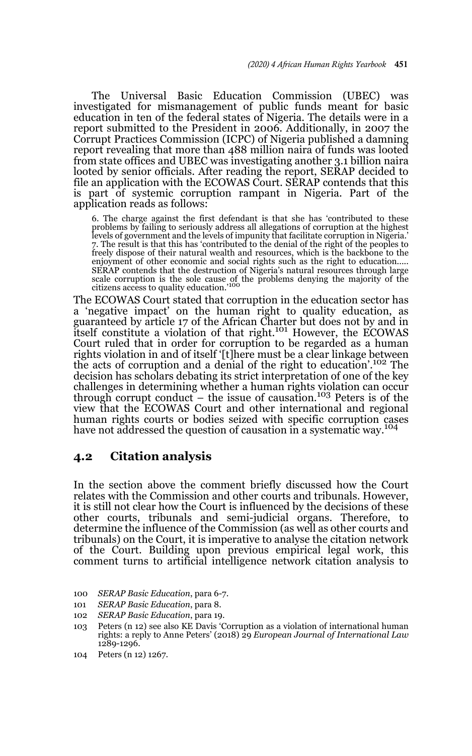The Universal Basic Education Commission (UBEC) was investigated for mismanagement of public funds meant for basic education in ten of the federal states of Nigeria. The details were in a report submitted to the President in 2006. Additionally, in 2007 the Corrupt Practices Commission (ICPC) of Nigeria published a damning report revealing that more than 488 million naira of funds was looted from state offices and UBEC was investigating another 3.1 billion naira looted by senior officials. After reading the report, SERAP decided to file an application with the ECOWAS Court. SERAP contends that this is part of systemic corruption rampant in Nigeria. Part of the application reads as follows:

6. The charge against the first defendant is that she has 'contributed to these problems by failing to seriously address all allegations of corruption at the highest levels of government and the levels of impunity that facilitate corruption in Nigeria.' 7. The result is that this has 'contributed to the denial of the right of the peoples to freely dispose of their natural wealth and resources, which is the backbone to the enjoyment of other economic and social rights such as the right to education..... SERAP contends that the destruction of Nigeria's natural resources through large scale corruption is the sole cause of the problems denying the majority of the citizens access to quality education.'<sup>100</sup>

The ECOWAS Court stated that corruption in the education sector has a 'negative impact' on the human right to quality education, as guaranteed by article 17 of the African Charter but does not by and in statutes by article 1/61 the rimean entired but assess not by and in Court ruled that in order for corruption to be regarded as a human rights violation in and of itself '[t]here must be a clear linkage between the acts of corruption and a denial of the right to education'.102 The decision has scholars debating its strict interpretation of one of the key challenges in determining whether a human rights violation can occur through corrupt conduct – the issue of causation.103 Peters is of the view that the ECOWAS Court and other international and regional human rights courts or bodies seized with specific corruption cases have not addressed the question of causation in a systematic way.<sup>104</sup>

#### **4.2 Citation analysis**

In the section above the comment briefly discussed how the Court relates with the Commission and other courts and tribunals. However, it is still not clear how the Court is influenced by the decisions of these other courts, tribunals and semi-judicial organs. Therefore, to determine the influence of the Commission (as well as other courts and tribunals) on the Court, it is imperative to analyse the citation network of the Court. Building upon previous empirical legal work, this comment turns to artificial intelligence network citation analysis to

- 100 *SERAP Basic Education*, para 6-7.
- 101 *SERAP Basic Education*, para 8.
- 102 *SERAP Basic Education*, para 19.
- 103 Peters (n 12) see also KE Davis 'Corruption as a violation of international human rights: a reply to Anne Peters' (2018) 29 *European Journal of International Law* 1289-1296.
- 104 Peters (n 12) 1267.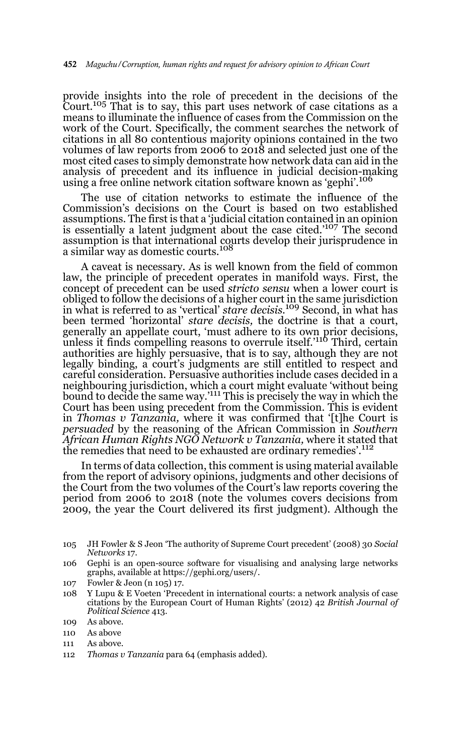provide insights into the role of precedent in the decisions of the Court.105 That is to say, this part uses network of case citations as a means to illuminate the influence of cases from the Commission on the work of the Court. Specifically, the comment searches the network of citations in all 80 contentious majority opinions contained in the two volumes of law reports from 2006 to 2018 and selected just one of the most cited cases to simply demonstrate how network data can aid in the analysis of precedent and its influence in judicial decision-making using a free online network citation software known as 'gephi'.<sup>106</sup>

The use of citation networks to estimate the influence of the Commission's decisions on the Court is based on two established assumptions. The first is that a 'judicial citation contained in an opinion is essentially a latent judgment about the case cited.'107 The second assumption is that international courts develop their jurisprudence in a similar way as domestic courts.<sup>108</sup>

A caveat is necessary. As is well known from the field of common law, the principle of precedent operates in manifold ways. First, the concept of precedent can be used *stricto sensu* when a lower court is obliged to follow the decisions of a higher court in the same jurisdiction in what is referred to as 'vertical' *stare decisis*. 109 Second, in what has been termed 'horizontal' *stare decisis,* the doctrine is that a court, generally an appellate court, 'must adhere to its own prior decisions, unless it finds compelling reasons to overrule itself.<sup>'110</sup> Third, certain authorities are highly persuasive, that is to say, although they are not legally binding, a court's judgments are still entitled to respect and careful consideration. Persuasive authorities include cases decided in a neighbouring jurisdiction, which a court might evaluate 'without being bound to decide the same way.'111 This is precisely the way in which the Court has been using precedent from the Commission. This is evident in *Thomas v Tanzania,* where it was confirmed that '[t]he Court is *persuaded* by the reasoning of the African Commission in *Southern African Human Rights NGO Network v Tanzania,* where it stated that the remedies that need to be exhausted are ordinary remedies'.<sup>112</sup>

In terms of data collection, this comment is using material available from the report of advisory opinions, judgments and other decisions of the Court from the two volumes of the Court's law reports covering the period from 2006 to 2018 (note the volumes covers decisions from 2009, the year the Court delivered its first judgment). Although the

- 105 JH Fowler & S Jeon 'The authority of Supreme Court precedent' (2008) 30 *Social Networks* 17.
- 106 Gephi is an open-source software for visualising and analysing large networks graphs, available at https://gephi.org/users/.
- 107 Fowler & Jeon (n 105) 17.
- 108 Y Lupu & E Voeten 'Precedent in international courts: a network analysis of case citations by the European Court of Human Rights' (2012) 42 *British Journal of Political Science* 413.

- 110 As above
- 111 As above.
- 112 *Thomas v Tanzania* para 64 (emphasis added).

<sup>109</sup> As above.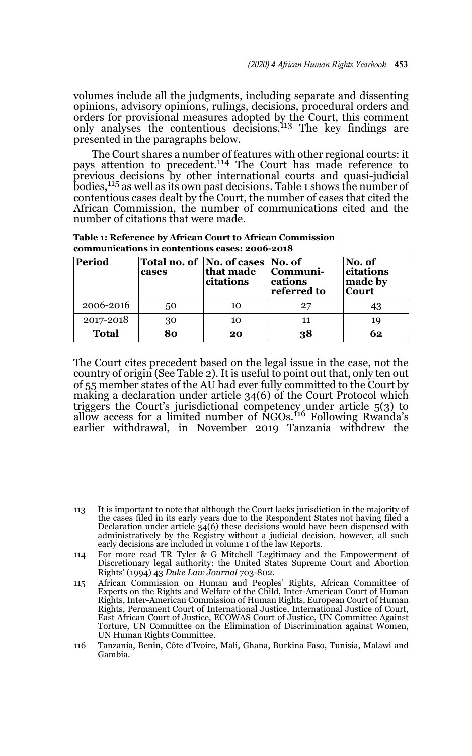volumes include all the judgments, including separate and dissenting opinions, advisory opinions, rulings, decisions, procedural orders and orders for provisional measures adopted by the Court, this comment only analyses the contentious decisions.113 The key findings are presented in the paragraphs below.

The Court shares a number of features with other regional courts: it pays attention to precedent.<sup>114</sup> The Court has made reference to previous decisions by other international courts and quasi-judicial bodies,115 as well as its own past decisions. Table 1 shows the number of contentious cases dealt by the Court, the number of cases that cited the African Commission, the number of communications cited and the number of citations that were made.

| Table 1: Reference by African Court to African Commission |
|-----------------------------------------------------------|
| communications in contentious cases: 2006-2018            |

| Period       | cases | Total no. of No. of cases No. of<br>that made<br>citations | Communi-<br>cations<br>referred to | No. of<br>citations<br>made by<br><b>Court</b> |
|--------------|-------|------------------------------------------------------------|------------------------------------|------------------------------------------------|
| 2006-2016    | 50    | 10                                                         | 27                                 |                                                |
| 2017-2018    | 30    | 10                                                         | 11                                 | 19                                             |
| <b>Total</b> | 80    | 20                                                         | 38                                 | 62                                             |

The Court cites precedent based on the legal issue in the case, not the country of origin (See Table 2). It is useful to point out that, only ten out of 55 member states of the AU had ever fully committed to the Court by making a declaration under article 34(6) of the Court Protocol which triggers the Court's jurisdictional competency under article 5(3) to allow access for a limited number of NGOs.116 Following Rwanda's earlier withdrawal, in November 2019 Tanzania withdrew the

- 114 For more read TR Tyler & G Mitchell 'Legitimacy and the Empowerment of Discretionary legal authority: the United States Supreme Court and Abortion Rights' (1994) 43 *Duke Law Journal* 703-802.
- 115 African Commission on Human and Peoples' Rights, African Committee of Experts on the Rights and Welfare of the Child, Inter-American Court of Human Rights, Inter-American Commission of Human Rights, European Court of Human Rights, Permanent Court of International Justice, International Justice of Court, East African Court of Justice, ECOWAS Court of Justice, UN Committee Against Torture, UN Committee on the Elimination of Discrimination against Women, UN Human Rights Committee.
- 116 Tanzania, Benin, Côte d'Ivoire, Mali, Ghana, Burkina Faso, Tunisia, Malawi and Gambia.

<sup>113</sup> It is important to note that although the Court lacks jurisdiction in the majority of the cases filed in its early years due to the Respondent States not having filed a Declaration under article 34(6) these decisions would have been dispensed with administratively by the Registry without a judicial decision, however, all such early decisions are included in volume 1 of the law Reports.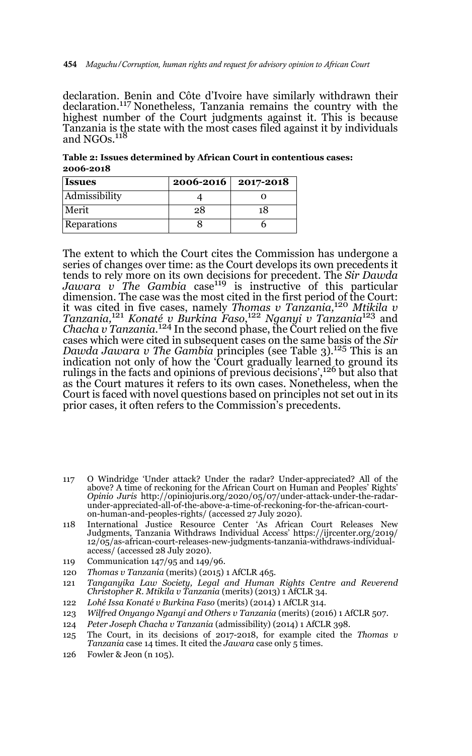declaration. Benin and Côte d'Ivoire have similarly withdrawn their declaration.<sup>117</sup> Nonetheless, Tanzania remains the country with the highest number of the Court judgments against it. This is because Tanzania is the state with the most cases filed against it by individuals and NGOs. $^{118}$ 

**Table 2: Issues determined by African Court in contentious cases: 2006-2018**

| <b>Issues</b> | 2006-2016 | 2017-2018 |
|---------------|-----------|-----------|
| Admissibility |           |           |
| Merit         | 28        | 18        |
| Reparations   |           |           |

The extent to which the Court cites the Commission has undergone a series of changes over time: as the Court develops its own precedents it tends to rely more on its own decisions for precedent. The *Sir Dawda*<br>*Jawara v The Gambia c*ase<sup>119</sup> is instructive of this particular dimension. The case was the most cited in the first period of the Court: it was cited in five cases, namely *Thomas v Tanzania,*<sup>120</sup> *Mtikila v Tanzania,*<sup>121</sup> *Konaté v Burkina Faso*, <sup>122</sup> *Nganyi v Tanzania*123 and *Chacha v Tanzania.*124 In the second phase, the Court relied on the five cases which were cited in subsequent cases on the same basis of the *Sir Dawda Jawara v The Gambia* principles (see Table 3).<sup>125</sup> This is an indication not only of how the 'Court gradually learned to ground its rulings in the facts and opinions of previous decisions',126 but also that as the Court matures it refers to its own cases. Nonetheless, when the Court is faced with novel questions based on principles not set out in its prior cases, it often refers to the Commission's precedents.

- 117 O Windridge 'Under attack? Under the radar? Under-appreciated? All of the above? A time of reckoning for the African Court on Human and Peoples' Rights' *Opinio Juris* http://opiniojuris.org/2020/05/07/under-attack-under-the-radarunder-appreciated-all-of-the-above-a-time-of-reckoning-for-the-african-courton-human-and-peoples-rights/ (accessed 27 July 2020).
- 118 International Justice Resource Center 'As African Court Releases New Judgments, Tanzania Withdraws Individual Access' https://ijrcenter.org/2019/ 12/05/as-african-court-releases-new-judgments-tanzania-withdraws-individualaccess/ (accessed 28 July 2020).
- 119 Communication 147/95 and 149/96.
- 120 *Thomas v Tanzania* (merits) (2015) 1 AfCLR 465.
- 121 *Tanganyika Law Society, Legal and Human Rights Centre and Reverend Christopher R. Mtikila v Tanzania* (merits) (2013) 1 AfCLR 34.
- 122 *Lohé Issa Konaté v Burkina Faso* (merits) (2014) 1 AfCLR 314.
- 123 *Wilfred Onyango Nganyi and Others v Tanzania* (merits) (2016) 1 AfCLR 507.
- 124 *Peter Joseph Chacha v Tanzania* (admissibility) (2014) 1 AfCLR 398.
- 125 The Court, in its decisions of 2017-2018, for example cited the *Thomas v Tanzania* case 14 times. It cited the *Jawara* case only 5 times.
- 126 Fowler & Jeon (n 105).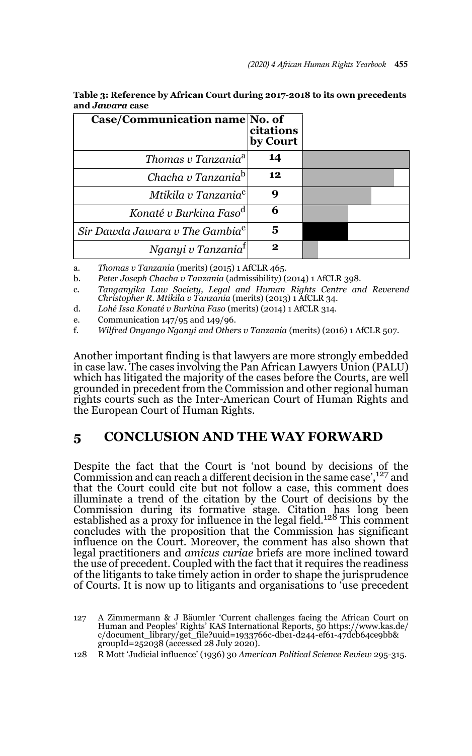| Case/Communication name No. of             | citations<br>by Court |  |
|--------------------------------------------|-----------------------|--|
| Thomas v Tanzania <sup>a</sup>             | 14                    |  |
| Chacha v Tanzania <sup>b</sup> l           | 12                    |  |
| Mtikila v Tanzania <sup>c</sup> l          | q                     |  |
| Konaté v Burkina Faso <sup>d</sup>         | 6                     |  |
| Sir Dawda Jawara v The Gambia <sup>e</sup> | 5                     |  |
| Nganyi v Tanzania <sup>t</sup>             | 9                     |  |

| Table 3: Reference by African Court during 2017-2018 to its own precedents |
|----------------------------------------------------------------------------|
| and J <i>awara</i> case                                                    |

a. *Thomas v Tanzania* (merits) (2015) 1 AfCLR 465.

b. *Peter Joseph Chacha v Tanzania* (admissibility) (2014) 1 AfCLR 398.

c. *Tanganyika Law Society, Legal and Human Rights Centre and Reverend Christopher R. Mtikila v Tanzania* (merits) (2013) 1 AfCLR 34.

d. *Lohé Issa Konaté v Burkina Faso* (merits) (2014) 1 AfCLR 314.

e. Communication 147/95 and 149/96.

f. *Wilfred Onyango Nganyi and Others v Tanzania* (merits) (2016) 1 AfCLR 507.

Another important finding is that lawyers are more strongly embedded in case law. The cases involving the Pan African Lawyers Union (PALU) which has litigated the majority of the cases before the Courts, are well grounded in precedent from the Commission and other regional human rights courts such as the Inter-American Court of Human Rights and the European Court of Human Rights.

## **5 CONCLUSION AND THE WAY FORWARD**

Despite the fact that the Court is 'not bound by decisions of the Commission and can reach a different decision in the same case',127 and that the Court could cite but not follow a case, this comment does illuminate a trend of the citation by the Court of decisions by the Commission during its formative stage. Citation has long been<br>established as a proxy for influence in the legal field.<sup>128</sup> This comment concludes with the proposition that the Commission has significant influence on the Court. Moreover, the comment has also shown that legal practitioners and *amicus curiae* briefs are more inclined toward the use of precedent. Coupled with the fact that it requires the readiness of the litigants to take timely action in order to shape the jurisprudence of Courts. It is now up to litigants and organisations to 'use precedent

128 R Mott 'Judicial influence' (1936) 30 *American Political Science Review* 295-315.

<sup>127</sup> A Zimmermann & J Bäumler 'Current challenges facing the African Court on Human and Peoples' Rights' KAS International Reports, 50 https://www.kas.de/ c/document\_library/get\_file?uuid=1933766c-dbe1-d244-ef61-47dcb64ce9bb& groupId=252038 (accessed 28 July 2020).